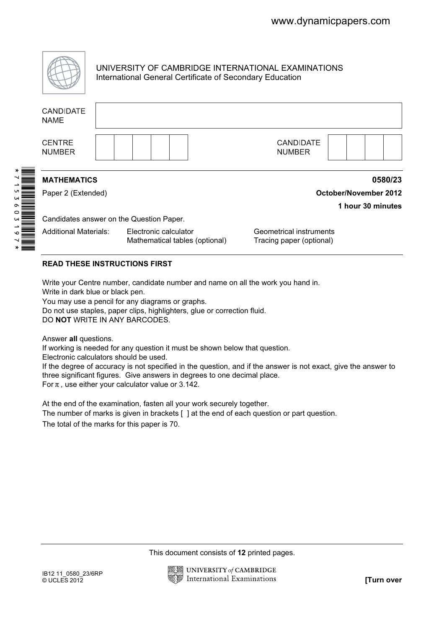

UNIVERSITY OF CAMBRIDGE INTERNATIONAL EXAMINATIONS International General Certificate of Secondary Education

|  | <b>CANDIDATE</b><br><b>NAME</b>                                                                                                                                                                                                                                                                                                                                                                                                                                                                                                                                                                                                                                                                                                                                                                                                                                                                                        |  |                              |  |  |                                                                                       |  |  |  |                                                                        |               |                  |  |                   |            |
|--|------------------------------------------------------------------------------------------------------------------------------------------------------------------------------------------------------------------------------------------------------------------------------------------------------------------------------------------------------------------------------------------------------------------------------------------------------------------------------------------------------------------------------------------------------------------------------------------------------------------------------------------------------------------------------------------------------------------------------------------------------------------------------------------------------------------------------------------------------------------------------------------------------------------------|--|------------------------------|--|--|---------------------------------------------------------------------------------------|--|--|--|------------------------------------------------------------------------|---------------|------------------|--|-------------------|------------|
|  | <b>CENTRE</b><br><b>NUMBER</b>                                                                                                                                                                                                                                                                                                                                                                                                                                                                                                                                                                                                                                                                                                                                                                                                                                                                                         |  |                              |  |  |                                                                                       |  |  |  |                                                                        | <b>NUMBER</b> | <b>CANDIDATE</b> |  |                   |            |
|  | <b>MATHEMATICS</b><br>0580/23                                                                                                                                                                                                                                                                                                                                                                                                                                                                                                                                                                                                                                                                                                                                                                                                                                                                                          |  |                              |  |  |                                                                                       |  |  |  |                                                                        |               |                  |  |                   |            |
|  | Paper 2 (Extended)                                                                                                                                                                                                                                                                                                                                                                                                                                                                                                                                                                                                                                                                                                                                                                                                                                                                                                     |  | <b>October/November 2012</b> |  |  |                                                                                       |  |  |  |                                                                        |               |                  |  |                   |            |
|  |                                                                                                                                                                                                                                                                                                                                                                                                                                                                                                                                                                                                                                                                                                                                                                                                                                                                                                                        |  |                              |  |  |                                                                                       |  |  |  |                                                                        |               |                  |  | 1 hour 30 minutes |            |
|  | Candidates answer on the Question Paper.<br><b>Additional Materials:</b><br>Electronic calculator                                                                                                                                                                                                                                                                                                                                                                                                                                                                                                                                                                                                                                                                                                                                                                                                                      |  |                              |  |  | Geometrical instruments<br>Mathematical tables (optional)<br>Tracing paper (optional) |  |  |  |                                                                        |               |                  |  |                   |            |
|  | <b>READ THESE INSTRUCTIONS FIRST</b>                                                                                                                                                                                                                                                                                                                                                                                                                                                                                                                                                                                                                                                                                                                                                                                                                                                                                   |  |                              |  |  |                                                                                       |  |  |  |                                                                        |               |                  |  |                   |            |
|  | Write your Centre number, candidate number and name on all the work you hand in.<br>Write in dark blue or black pen.<br>You may use a pencil for any diagrams or graphs.<br>Do not use staples, paper clips, highlighters, glue or correction fluid.<br>DO NOT WRITE IN ANY BARCODES.<br>Answer all questions.<br>If working is needed for any question it must be shown below that question.<br>Electronic calculators should be used.<br>If the degree of accuracy is not specified in the question, and if the answer is not exact, give the answer to<br>three significant figures. Give answers in degrees to one decimal place.<br>For $\pi$ , use either your calculator value or 3.142.<br>At the end of the examination, fasten all your work securely together.<br>The number of marks is given in brackets [] at the end of each question or part question.<br>The total of the marks for this paper is 70. |  |                              |  |  |                                                                                       |  |  |  |                                                                        |               |                  |  |                   |            |
|  |                                                                                                                                                                                                                                                                                                                                                                                                                                                                                                                                                                                                                                                                                                                                                                                                                                                                                                                        |  |                              |  |  |                                                                                       |  |  |  | This document consists of 12 printed pages.<br>UNIVERSITY of CAMBRIDGE |               |                  |  |                   |            |
|  | IB12 11_0580_23/6RP<br>$@$ UCLES 2012                                                                                                                                                                                                                                                                                                                                                                                                                                                                                                                                                                                                                                                                                                                                                                                                                                                                                  |  |                              |  |  |                                                                                       |  |  |  | <b>International Examinations</b>                                      |               |                  |  |                   | [Turn over |

## READ THESE INSTRUCTIONS FIRST

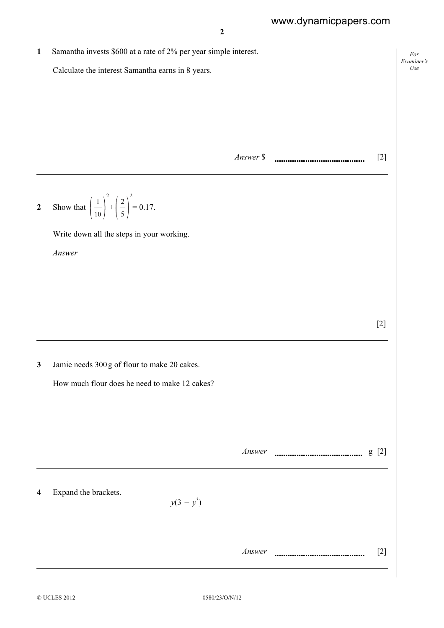1 Samantha invests \$600 at a rate of 2% per year simple interest. Calculate the interest Samantha earns in 8 years.

Answer \$ [2]

2 Show that  $\frac{1}{10}$  $1^2$  $+$   $\frac{-}{5}$  $2^2$  $= 0.17.$ 

Write down all the steps in your working.

Answer

[2]

For Examiner's Use

3 Jamie needs 300 g of flour to make 20 cakes.

How much flour does he need to make 12 cakes?

Answer g [2]

4 Expand the brackets.

 $y(3-y^3)$ 

Answer [2]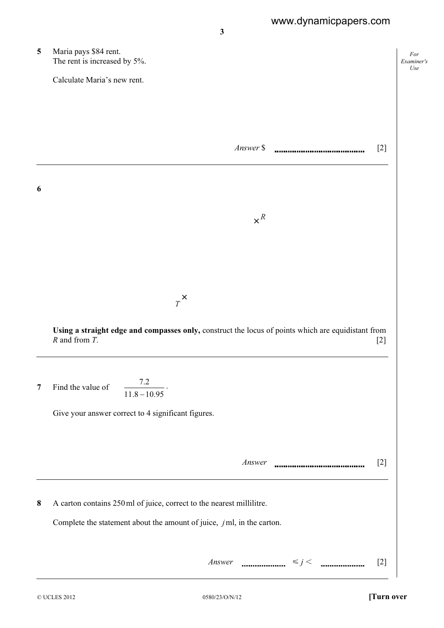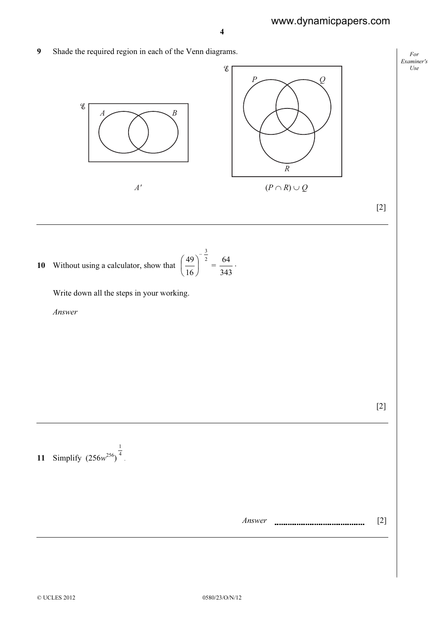For Examiner's Use

9 Shade the required region in each of the Venn diagrams.



10 Without using a calculator, show that  $\left(\frac{49}{16}\right)^{-2}$  $\frac{3}{2}$  $\frac{49}{16}$ J  $\left(\frac{49}{\phantom{0}}\right)$ l ſ  $=\frac{84}{343}$  $\frac{64}{1}$ .

Write down all the steps in your working.

1

Answer

[2]

11 Simplify  $(256w^{256})^{\frac{1}{4}}$ .

| Answer |  |
|--------|--|
|        |  |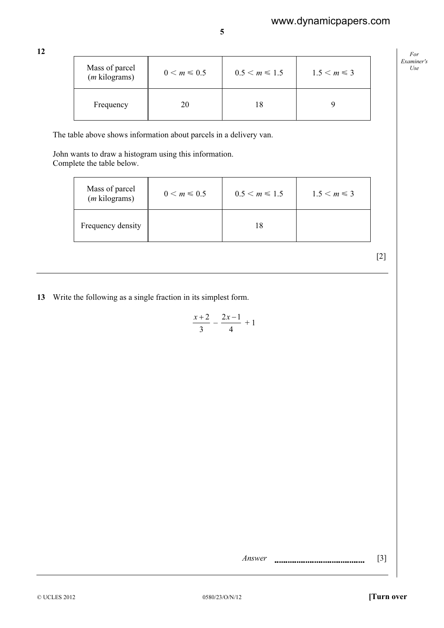12

| Mass of parcel<br>$(m \text{ kilograms})$ | $0 \le m \le 0.5$ | $0.5 < m \le 1.5$ | $1.5 < m \leq 3$ |
|-------------------------------------------|-------------------|-------------------|------------------|
| Frequency                                 | 20                | 18                |                  |

5

The table above shows information about parcels in a delivery van.

 John wants to draw a histogram using this information. Complete the table below.

| Mass of parcel<br>$(m$ kilograms) | $0 \le m \le 0.5$ | $0.5 < m \le 1.5$ | $1.5 < m \leq 3$ |
|-----------------------------------|-------------------|-------------------|------------------|
| Frequency density                 |                   |                   |                  |

[2]

For Examiner's Use

13 Write the following as a single fraction in its simplest form.

$$
\frac{x+2}{3} - \frac{2x-1}{4} + 1
$$

Answer [3]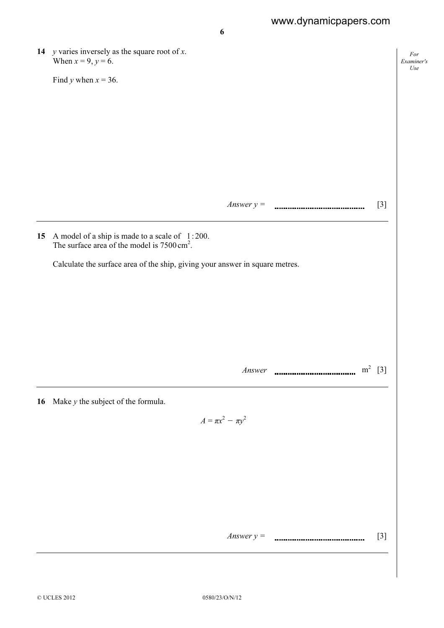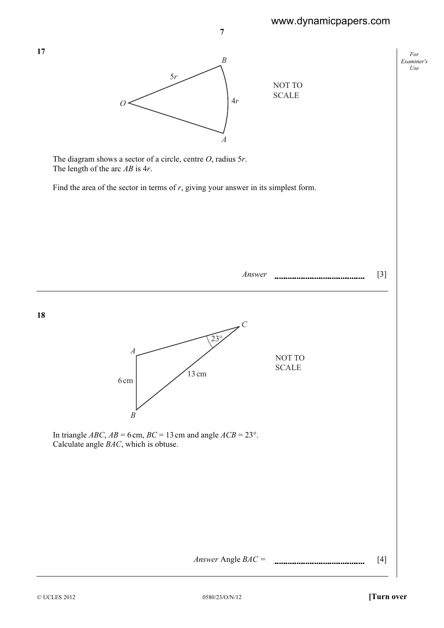For Examiner's Use



The diagram shows a sector of a circle, centre  $O$ , radius 5r. The length of the arc  $AB$  is  $4r$ .

Find the area of the sector in terms of  $r$ , giving your answer in its simplest form.

Answer [3]

*A C*  $\widetilde{23}$ ° 13 cm 6 cm NOT TO SCALE

In triangle *ABC*,  $AB = 6$  cm,  $BC = 13$  cm and angle  $ACB = 23^{\circ}$ . Calculate angle BAC, which is obtuse.

*B*

Answer Angle  $BAC =$  [4]

17

18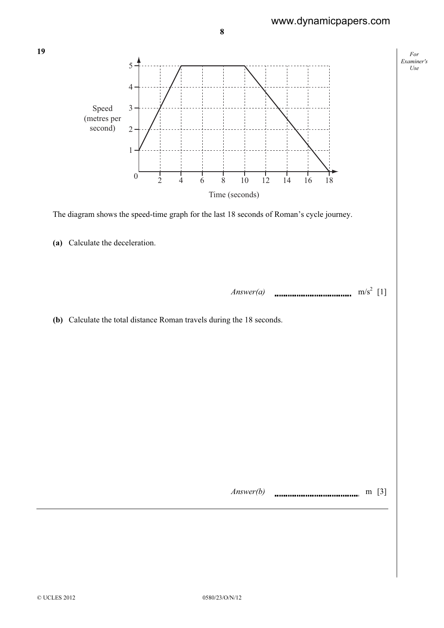For

Use



19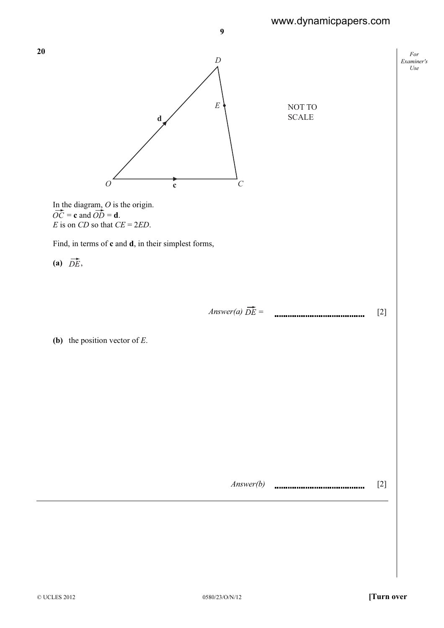www.dynamicpapers.com

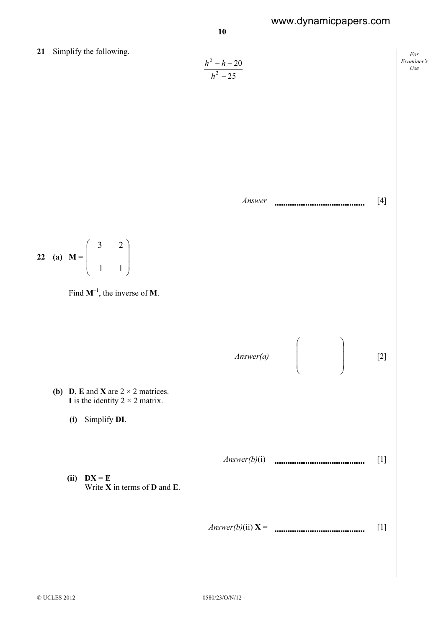## www.dynamicpapers.com



21 Simplify the following.

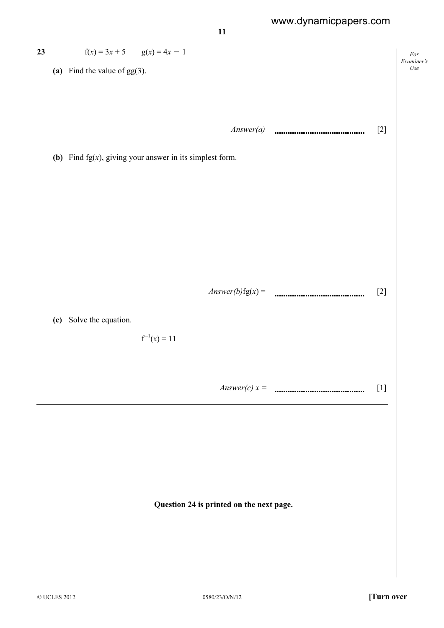For

Use



Examiner's 23  $f(x) = 3x + 5$   $g(x) = 4x - 1$ (a) Find the value of  $gg(3)$ .  $Answer(a)$  [2] (b) Find  $fg(x)$ , giving your answer in its simplest form. Answer(b)fg(x) = [2] (c) Solve the equation.  $f^{-1}(x) = 11$ Answer(c)  $x =$  [1] Question 24 is printed on the next page.